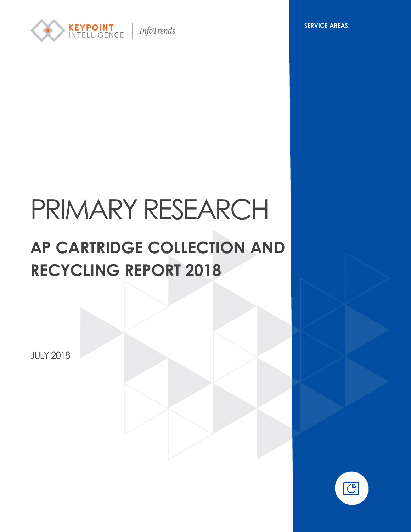

**InfoTrends** 

**SERVICE AREAS:**

# PRIMARY RESEARCH

# **AP CARTRIDGE COLLECTION AND RECYCLING REPORT 2018**

JULY 2018

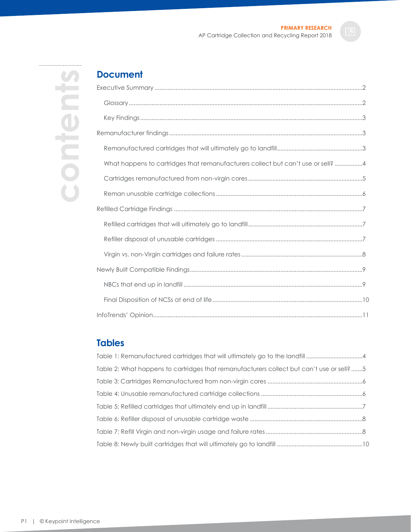**contents**content

# **Document**

| What happens to cartridges that remanufacturers collect but can't use or sell? 4 |
|----------------------------------------------------------------------------------|
|                                                                                  |
|                                                                                  |
|                                                                                  |
|                                                                                  |
|                                                                                  |
|                                                                                  |
|                                                                                  |
|                                                                                  |
|                                                                                  |
|                                                                                  |

# **Tables**

| Table 1: Remanufactured cartridges that will ultimately go to the landfill 4             |  |
|------------------------------------------------------------------------------------------|--|
| Table 2: What happens to cartridges that remanufacturers collect but can't use or sell?5 |  |
|                                                                                          |  |
|                                                                                          |  |
|                                                                                          |  |
|                                                                                          |  |
|                                                                                          |  |
|                                                                                          |  |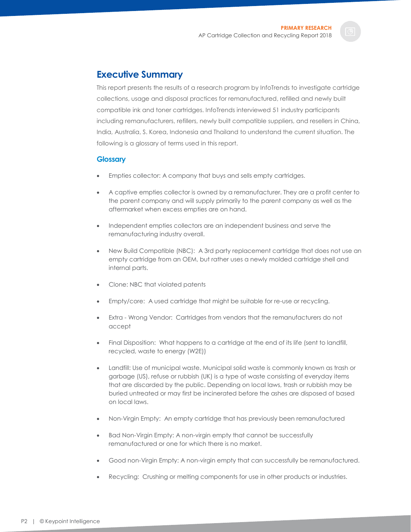### <span id="page-2-0"></span>**Executive Summary**

This report presents the results of a research program by InfoTrends to investigate cartridge collections, usage and disposal practices for remanufactured, refilled and newly built compatible ink and toner cartridges. InfoTrends interviewed 51 industry participants including remanufacturers, refillers, newly built compatible suppliers, and resellers in China, India, Australia, S. Korea, Indonesia and Thailand to understand the current situation. The following is a glossary of terms used in this report.

#### <span id="page-2-1"></span>**Glossary**

- Empties collector: A company that buys and sells empty cartridges.
- A captive empties collector is owned by a remanufacturer. They are a profit center to the parent company and will supply primarily to the parent company as well as the aftermarket when excess empties are on hand.
- Independent empties collectors are an independent business and serve the remanufacturing industry overall.
- New Build Compatible (NBC): A 3rd party replacement cartridge that does not use an empty cartridge from an OEM, but rather uses a newly molded cartridge shell and internal parts.
- Clone: NBC that violated patents
- Empty/core: A used cartridge that might be suitable for re-use or recycling.
- Extra Wrong Vendor: Cartridges from vendors that the remanufacturers do not accept
- Final Disposition: What happens to a cartridge at the end of its life (sent to landfill, recycled, waste to energy (W2E))
- Landfill: Use of municipal waste. Municipal solid waste is commonly known as trash or garbage (US), refuse or rubbish (UK) is a type of waste consisting of everyday items that are discarded by the public. Depending on local laws, trash or rubbish may be buried untreated or may first be incinerated before the ashes are disposed of based on local laws.
- Non-Virgin Empty: An empty cartridge that has previously been remanufactured
- Bad Non-Virgin Empty: A non-virgin empty that cannot be successfully remanufactured or one for which there is no market.
- Good non-Virgin Empty: A non-virgin empty that can successfully be remanufactured.
- Recycling: Crushing or melting components for use in other products or industries.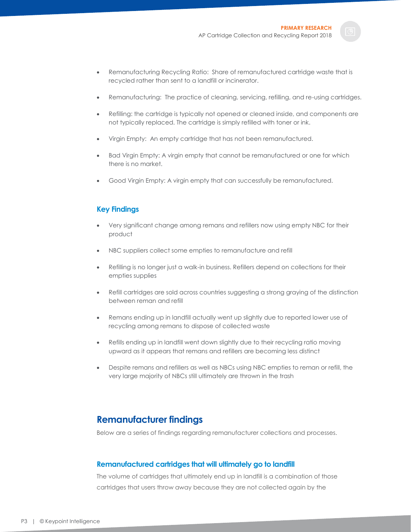- Remanufacturing Recycling Ratio: Share of remanufactured cartridge waste that is recycled rather than sent to a landfill or incinerator.
- Remanufacturing: The practice of cleaning, servicing, refilling, and re-using cartridges.
- Refilling: the cartridge is typically not opened or cleaned inside, and components are not typically replaced. The cartridge is simply refilled with toner or ink.
- Virgin Empty: An empty cartridge that has not been remanufactured.
- Bad Virgin Empty: A virgin empty that cannot be remanufactured or one for which there is no market.
- Good Virgin Empty: A virgin empty that can successfully be remanufactured.

#### <span id="page-3-0"></span>**Key Findings**

- Very significant change among remans and refillers now using empty NBC for their product
- NBC suppliers collect some empties to remanufacture and refill
- Refilling is no longer just a walk-in business. Refillers depend on collections for their empties supplies
- Refill cartridges are sold across countries suggesting a strong graying of the distinction between reman and refill
- Remans ending up in landfill actually went up slightly due to reported lower use of recycling among remans to dispose of collected waste
- Refills ending up in landfill went down slightly due to their recycling ratio moving upward as it appears that remans and refillers are becoming less distinct
- Despite remans and refillers as well as NBCs using NBC empties to reman or refill, the very large majority of NBCs still ultimately are thrown in the trash

# <span id="page-3-1"></span>**Remanufacturer findings**

Below are a series of findings regarding remanufacturer collections and processes.

#### <span id="page-3-2"></span>**Remanufactured cartridges that will ultimately go to landfill**

The volume of cartridges that ultimately end up in landfill is a combination of those cartridges that users throw away because they are not collected again by the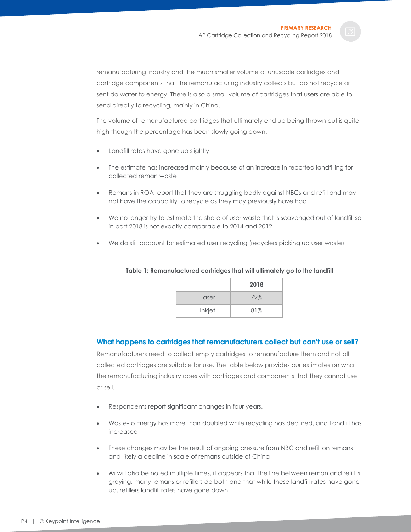remanufacturing industry and the much smaller volume of unusable cartridges and cartridge components that the remanufacturing industry collects but do not recycle or sent do water to energy. There is also a small volume of cartridges that users are able to send directly to recycling, mainly in China.

The volume of remanufactured cartridges that ultimately end up being thrown out is quite high though the percentage has been slowly going down.

- Landfill rates have gone up slightly
- The estimate has increased mainly because of an increase in reported landfilling for collected reman waste
- Remans in ROA report that they are struggling badly against NBCs and refill and may not have the capability to recycle as they may previously have had
- We no longer try to estimate the share of user waste that is scavenged out of landfill so in part 2018 is not exactly comparable to 2014 and 2012
- <span id="page-4-1"></span>• We do still account for estimated user recycling (recyclers picking up user waste)

|        | 2018 |
|--------|------|
| Laser  | 72%  |
| Inkjet | 81%  |

#### **Table 1: Remanufactured cartridges that will ultimately go to the landfill**

#### <span id="page-4-0"></span>**What happens to cartridges that remanufacturers collect but can't use or sell?**

Remanufacturers need to collect empty cartridges to remanufacture them and not all collected cartridges are suitable for use. The table below provides our estimates on what the remanufacturing industry does with cartridges and components that they cannot use or sell.

- Respondents report significant changes in four years.
- Waste-to Energy has more than doubled while recycling has declined, and Landfill has increased
- These changes may be the result of ongoing pressure from NBC and refill on remans and likely a decline in scale of remans outside of China
- As will also be noted multiple times, it appears that the line between reman and refill is graying, many remans or refillers do both and that while these landfill rates have gone up, refillers landfill rates have gone down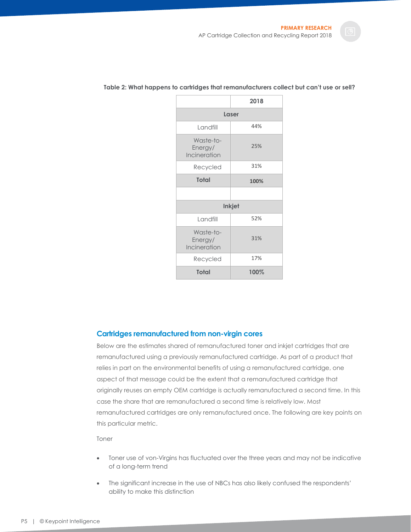|                                      | 2018          |  |  |  |  |
|--------------------------------------|---------------|--|--|--|--|
| Laser                                |               |  |  |  |  |
| Landfill                             | 44%           |  |  |  |  |
| Waste-to-<br>Energy/<br>Incineration | 25%           |  |  |  |  |
| Recycled                             | 31%           |  |  |  |  |
| <b>Total</b>                         | 100%          |  |  |  |  |
|                                      |               |  |  |  |  |
|                                      | <b>Inkjet</b> |  |  |  |  |
| Landfill                             | 52%           |  |  |  |  |
| Waste-to-<br>Energy/<br>Incineration | 31%           |  |  |  |  |
| Recycled                             | 17%           |  |  |  |  |
| <b>Total</b>                         | 100%          |  |  |  |  |

#### <span id="page-5-1"></span>**Table 2: What happens to cartridges that remanufacturers collect but can't use or sell?**

#### <span id="page-5-0"></span>**Cartridges remanufactured from non-virgin cores**

Below are the estimates shared of remanufactured toner and inkjet cartridges that are remanufactured using a previously remanufactured cartridge. As part of a product that relies in part on the environmental benefits of using a remanufactured cartridge, one aspect of that message could be the extent that a remanufactured cartridge that originally reuses an empty OEM cartridge is actually remanufactured a second time. In this case the share that are remanufactured a second time is relatively low. Most remanufactured cartridges are only remanufactured once. The following are key points on this particular metric.

Toner

- Toner use of von-Virgins has fluctuated over the three years and may not be indicative of a long-term trend
- The significant increase in the use of NBCs has also likely confused the respondents' ability to make this distinction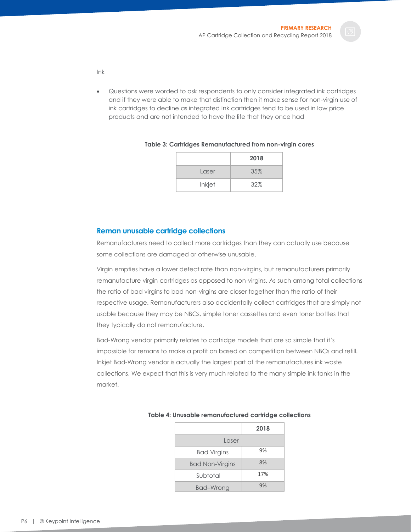- Ink
- Questions were worded to ask respondents to only consider integrated ink cartridges and if they were able to make that distinction then it make sense for non-virgin use of ink cartridges to decline as integrated ink cartridges tend to be used in low price products and are not intended to have the life that they once had

|        | 2018 |
|--------|------|
| Laser  | 35%  |
| Inkjet | 32%  |

#### <span id="page-6-1"></span>**Table 3: Cartridges Remanufactured from non-virgin cores**

#### <span id="page-6-0"></span>**Reman unusable cartridge collections**

Remanufacturers need to collect more cartridges than they can actually use because some collections are damaged or otherwise unusable.

Virgin empties have a lower defect rate than non-virgins, but remanufacturers primarily remanufacture virgin cartridges as opposed to non-virgins. As such among total collections the ratio of bad virgins to bad non-virgins are closer together than the ratio of their respective usage. Remanufacturers also accidentally collect cartridges that are simply not usable because they may be NBCs, simple toner cassettes and even toner bottles that they typically do not remanufacture.

Bad-Wrong vendor primarily relates to cartridge models that are so simple that it's impossible for remans to make a profit on based on competition between NBCs and refill. Inkjet Bad-Wrong vendor is actually the largest part of the remanufactures ink waste collections. We expect that this is very much related to the many simple ink tanks in the market.

|                        | 2018 |
|------------------------|------|
| Laser                  |      |
| <b>Bad Virgins</b>     | 9%   |
| <b>Bad Non-Virgins</b> | 8%   |
| Subtotal               | 17%  |
| Bad-Wrong              | 9%   |

#### <span id="page-6-2"></span>**Table 4: Unusable remanufactured cartridge collections**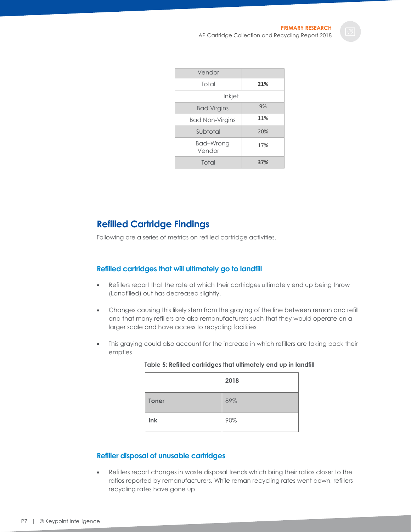| Vendor              |     |
|---------------------|-----|
| Total               | 21% |
| Inkjet              |     |
| <b>Bad Virgins</b>  | 9%  |
| Bad Non-Virgins     | 11% |
| Subtotal            | 20% |
| Bad-Wrong<br>Vendor | 17% |
| Total               | 37% |

# <span id="page-7-0"></span>**Refilled Cartridge Findings**

Following are a series of metrics on refilled cartridge activities.

#### <span id="page-7-1"></span>**Refilled cartridges that will ultimately go to landfill**

- Refillers report that the rate at which their cartridges ultimately end up being throw (Landfilled) out has decreased slightly.
- Changes causing this likely stem from the graying of the line between reman and refill and that many refillers are also remanufacturers such that they would operate on a larger scale and have access to recycling facilities
- <span id="page-7-3"></span>This graying could also account for the increase in which refillers are taking back their empties

|              | 2018 |
|--------------|------|
| <b>Toner</b> | 89%  |
| Ink          | 90%  |

#### **Table 5: Refilled cartridges that ultimately end up in landfill**

#### <span id="page-7-2"></span>**Refiller disposal of unusable cartridges**

• Refillers report changes in waste disposal trends which bring their ratios closer to the ratios reported by remanufacturers. While reman recycling rates went down, refillers recycling rates have gone up

P7 | © Keypoint Intelligence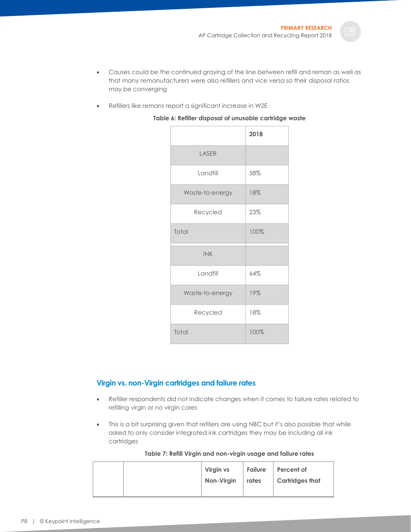- Causes could be the continued graying of the line between refill and reman as well as that many remanufacturers were also refillers and vice versa so their disposal ratios may be converging
- <span id="page-8-1"></span>• Refillers like remans report a significant increase in W2E

|                 | 2018 |
|-----------------|------|
| LASER           |      |
| Landfill        | 58%  |
| Waste-to-energy | 18%  |
| Recycled        | 23%  |
| Total           | 100% |
| <b>INK</b>      |      |
| Landfill        | 64%  |
| Waste-to-energy | 19%  |
| Recycled        | 18%  |
| Total           | 100% |

#### **Table 6: Refiller disposal of unusable cartridge waste**

#### <span id="page-8-0"></span>**Virgin vs. non-Virgin cartridges and failure rates**

- Refiller respondents did not indicate changes when it comes to failure rates related to refilling virgin or no virgin cores
- This is a bit surprising given that refillers are using NBC but it's also possible that while asked to only consider integrated ink cartridges they may be including all ink cartridges

|  |  | Table 7: Refill Virgin and non-virgin usage and failure rates |  |  |
|--|--|---------------------------------------------------------------|--|--|
|  |  |                                                               |  |  |

<span id="page-8-2"></span>

|  | Virgin vs  |           | Failure Percent of     |
|--|------------|-----------|------------------------|
|  | Non-Virgin | $ $ rates | <b>Cartridges that</b> |
|  |            |           |                        |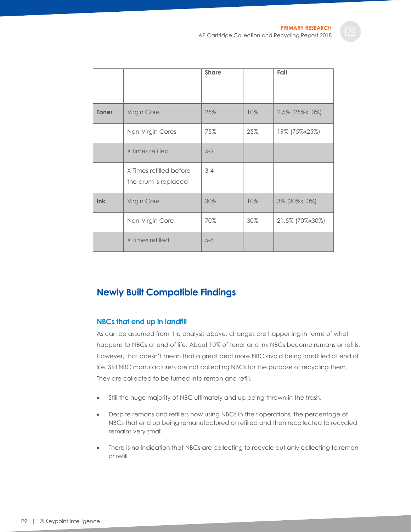|              |                                                 | <b>Share</b> |     | Fail            |
|--------------|-------------------------------------------------|--------------|-----|-----------------|
| <b>Toner</b> | Virgin Core                                     | 25%          | 10% | 2.5% (25%×10%)  |
|              | Non-Virgin Cores                                | 75%          | 25% | 19% (75%x25%)   |
|              | X times refilled                                | $5 - 9$      |     |                 |
|              | X Times refilled before<br>the drum is replaced | $3 - 4$      |     |                 |
| lnk          | Virgin Core                                     | 30%          | 10% | 3% (30%x10%)    |
|              | Non-Virgin Core                                 | 70%          | 30% | 21.5% (70%x30%) |
|              | X Times refilled                                | $5 - 8$      |     |                 |

# <span id="page-9-0"></span>**Newly Built Compatible Findings**

#### <span id="page-9-1"></span>**NBCs that end up in landfill**

As can be assumed from the analysis above, changes are happening in terms of what happens to NBCs at end of life. About 10% of toner and ink NBCs become remans or refills. However, that doesn't mean that a great deal more NBC avoid being landfilled at end of life. Still NBC manufacturers are not collecting NBCs for the purpose of recycling them. They are collected to be turned into reman and refill.

- Still the huge majority of NBC ultimately and up being thrown in the trash.
- Despite remans and refillers now using NBCs in their operations, the percentage of NBCs that end up being remanufactured or refilled and then recollected to recycled remains very small
- There is no indication that NBCs are collecting to recycle but only collecting to reman or refill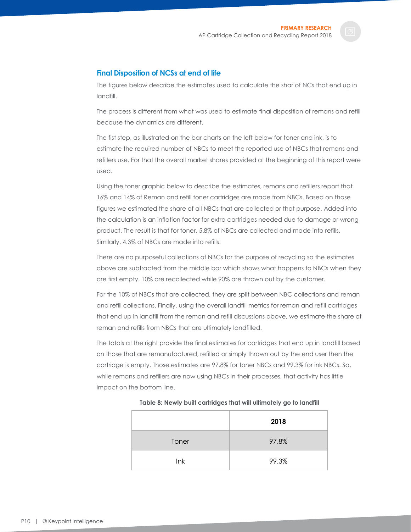#### <span id="page-10-0"></span>**Final Disposition of NCSs at end of life**

The figures below describe the estimates used to calculate the shar of NCs that end up in landfill.

The process is different from what was used to estimate final disposition of remans and refill because the dynamics are different.

The fist step, as illustrated on the bar charts on the left below for toner and ink, is to estimate the required number of NBCs to meet the reported use of NBCs that remans and refillers use. For that the overall market shares provided at the beginning of this report were used.

Using the toner graphic below to describe the estimates, remans and refillers report that 16% and 14% of Reman and refill toner cartridges are made from NBCs. Based on those figures we estimated the share of all NBCs that are collected or that purpose. Added into the calculation is an inflation factor for extra cartridges needed due to damage or wrong product. The result is that for toner, 5.8% of NBCs are collected and made into refills. Similarly, 4.3% of NBCs are made into refills.

There are no purposeful collections of NBCs for the purpose of recycling so the estimates above are subtracted from the middle bar which shows what happens to NBCs when they are first empty. 10% are recollected while 90% are thrown out by the customer.

For the 10% of NBCs that are collected, they are split between NBC collections and reman and refill collections. Finally, using the overall landfill metrics for reman and refill cartridges that end up in landfill from the reman and refill discussions above, we estimate the share of reman and refills from NBCs that are ultimately landfilled.

The totals at the right provide the final estimates for cartridges that end up in landfill based on those that are remanufactured, refilled or simply thrown out by the end user then the cartridge is empty. Those estimates are 97.8% for toner NBCs and 99.3% for ink NBCs. So, while remans and refillers are now using NBCs in their processes, that activity has little impact on the bottom line.

<span id="page-10-1"></span>

|       | 2018  |
|-------|-------|
| Toner | 97.8% |
| Ink   | 99.3% |

**Table 8: Newly built cartridges that will ultimately go to landfill**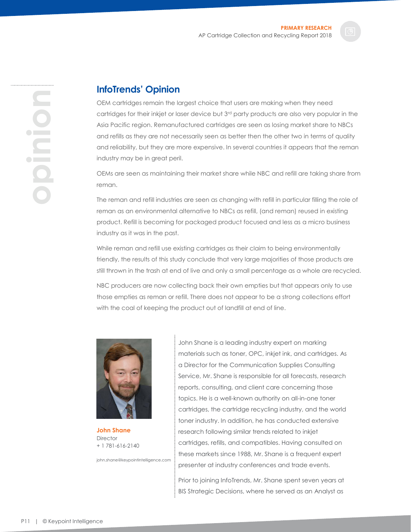## <span id="page-11-0"></span>**InfoTrends' Opinion**

OEM cartridges remain the largest choice that users are making when they need cartridges for their inkjet or laser device but 3rd party products are also very popular in the Asia Pacific region. Remanufactured cartridges are seen as losing market share to NBCs and refills as they are not necessarily seen as better then the other two in terms of quality and reliability, but they are more expensive. In several countries it appears that the reman industry may be in great peril.

OEMs are seen as maintaining their market share while NBC and refill are taking share from reman.

The reman and refill industries are seen as changing with refill in particular filling the role of reman as an environmental alternative to NBCs as refill, (and reman) reused in existing product. Refill is becoming for packaged product focused and less as a micro business industry as it was in the past.

While reman and refill use existing cartridges as their claim to being environmentally friendly, the results of this study conclude that very large majorities of those products are still thrown in the trash at end of live and only a small percentage as a whole are recycled.

NBC producers are now collecting back their own empties but that appears only to use those empties as reman or refill. There does not appear to be a strong collections effort with the coal of keeping the product out of landfill at end of line.



**John Shane Director** + 1 781-616-2140

john.shane@keypointintelligence.com

John Shane is a leading industry expert on marking materials such as toner, OPC, inkjet ink, and cartridges. As a Director for the Communication Supplies Consulting Service, Mr. Shane is responsible for all forecasts, research reports, consulting, and client care concerning those topics. He is a well-known authority on all-in-one toner cartridges, the cartridge recycling industry, and the world toner industry. In addition, he has conducted extensive research following similar trends related to inkjet cartridges, refills, and compatibles. Having consulted on these markets since 1988, Mr. Shane is a frequent expert presenter at industry conferences and trade events.

Prior to joining InfoTrends, Mr. Shane spent seven years at BIS Strategic Decisions, where he served as an Analyst as